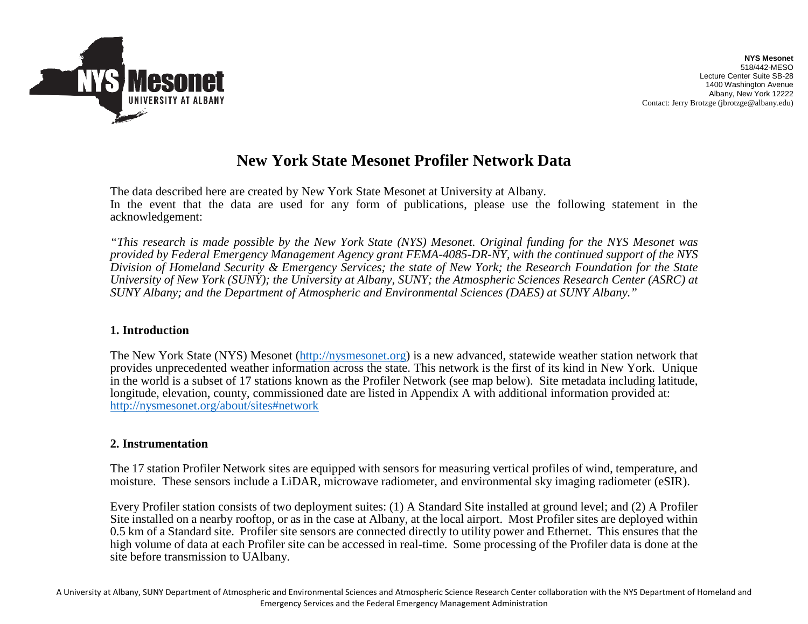

# **New York State Mesonet Profiler Network Data**

The data described here are created by New York State Mesonet at University at Albany. In the event that the data are used for any form of publications, please use the following statement in the acknowledgement:

*"This research is made possible by the New York State (NYS) Mesonet. Original funding for the NYS Mesonet was provided by Federal Emergency Management Agency grant FEMA-4085-DR-NY, with the continued support of the NYS Division of Homeland Security & Emergency Services; the state of New York; the Research Foundation for the State University of New York (SUNY); the University at Albany, SUNY; the Atmospheric Sciences Research Center (ASRC) at SUNY Albany; and the Department of Atmospheric and Environmental Sciences (DAES) at SUNY Albany."*

#### **1. Introduction**

The New York State (NYS) Mesonet [\(http://nysmesonet.org\)](http://nysmesonet.org/) is a new advanced, statewide weather station network that provides unprecedented weather information across the state. This network is the first of its kind in New York. Unique in the world is a subset of 17 stations known as the Profiler Network (see map below). Site metadata including latitude, longitude, elevation, county, commissioned date are listed in Appendix A with additional information provided at: http://nysmesonet.org/about/sites#network

#### **2. Instrumentation**

The 17 station Profiler Network sites are equipped with sensors for measuring vertical profiles of wind, temperature, and moisture. These sensors include a LiDAR, microwave radiometer, and environmental sky imaging radiometer (eSIR).

Every Profiler station consists of two deployment suites: (1) A Standard Site installed at ground level; and (2) A Profiler Site installed on a nearby rooftop, or as in the case at Albany, at the local airport. Most Profiler sites are deployed within 0.5 km of a Standard site. Profiler site sensors are connected directly to utility power and Ethernet. This ensures that the high volume of data at each Profiler site can be accessed in real-time. Some processing of the Profiler data is done at the site before transmission to UAlbany.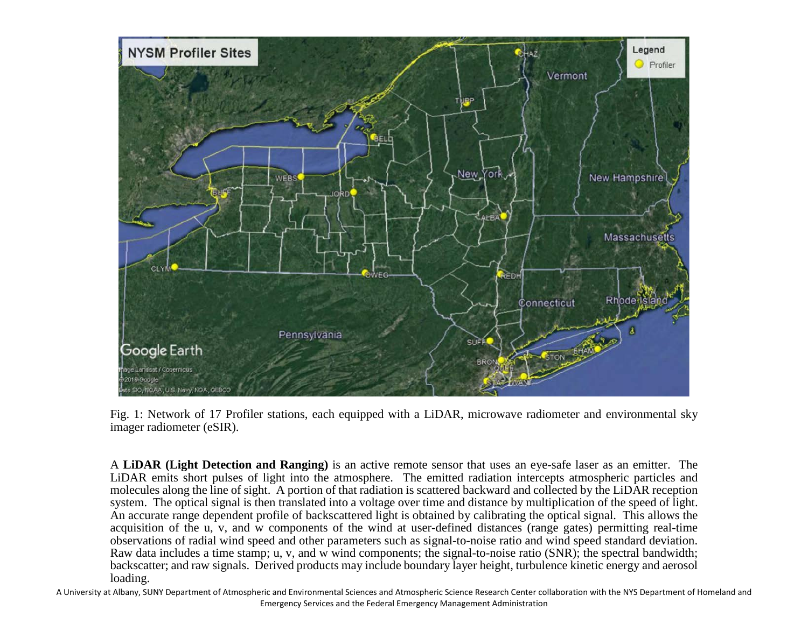

Fig. 1: Network of 17 Profiler stations, each equipped with a LiDAR, microwave radiometer and environmental sky imager radiometer (eSIR).

A **LiDAR (Light Detection and Ranging)** is an active remote sensor that uses an eye-safe laser as an emitter. The LiDAR emits short pulses of light into the atmosphere. The emitted radiation intercepts atmospheric particles and molecules along the line of sight. A portion of that radiation is scattered backward and collected by the LiDAR reception system. The optical signal is then translated into a voltage over time and distance by multiplication of the speed of light. An accurate range dependent profile of backscattered light is obtained by calibrating the optical signal. This allows the acquisition of the u, v, and w components of the wind at user-defined distances (range gates) permitting real-time observations of radial wind speed and other parameters such as signal-to-noise ratio and wind speed standard deviation. Raw data includes a time stamp; u, v, and w wind components; the signal-to-noise ratio (SNR); the spectral bandwidth; backscatter; and raw signals. Derived products may include boundary layer height, turbulence kinetic energy and aerosol loading.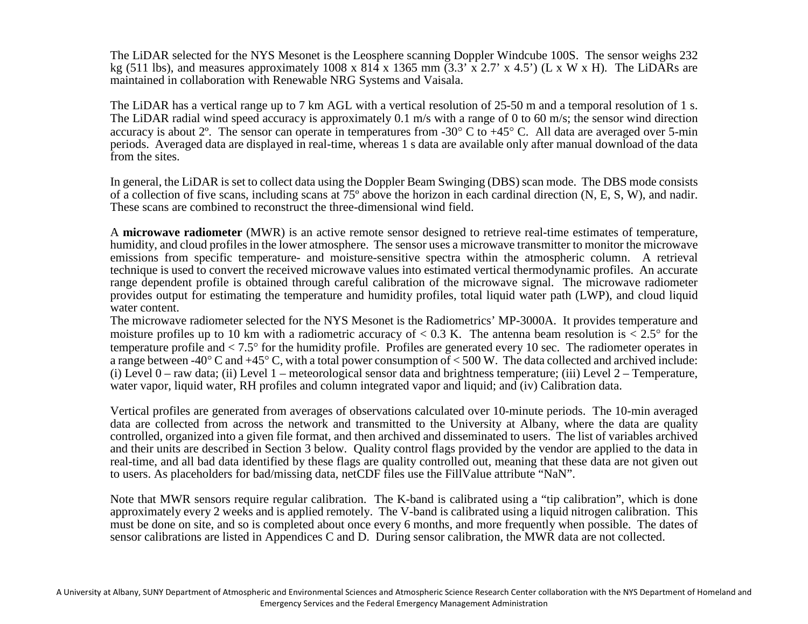The LiDAR selected for the NYS Mesonet is the Leosphere scanning Doppler Windcube 100S. The sensor weighs 232 kg (511 lbs), and measures approximately 1008 x 814 x 1365 mm (3.3' x 2.7' x 4.5') (L x W x H). The LiDARs are maintained in collaboration with Renewable NRG Systems and Vaisala.

The LiDAR has a vertical range up to 7 km AGL with a vertical resolution of 25-50 m and a temporal resolution of 1 s. The LiDAR radial wind speed accuracy is approximately 0.1 m/s with a range of 0 to 60 m/s; the sensor wind direction accuracy is about 2<sup>o</sup>. The sensor can operate in temperatures from -30<sup>o</sup> C to +45<sup>o</sup> C. All data are averaged over 5-min periods. Averaged data are displayed in real-time, whereas 1 s data are available only after manual download of the data from the sites.

In general, the LiDAR is set to collect data using the Doppler Beam Swinging (DBS) scan mode. The DBS mode consists of a collection of five scans, including scans at 75º above the horizon in each cardinal direction (N, E, S, W), and nadir. These scans are combined to reconstruct the three-dimensional wind field.

A **microwave radiometer** (MWR) is an active remote sensor designed to retrieve real-time estimates of temperature, humidity, and cloud profiles in the lower atmosphere. The sensor uses a microwave transmitter to monitor the microwave emissions from specific temperature- and moisture-sensitive spectra within the atmospheric column. A retrieval technique is used to convert the received microwave values into estimated vertical thermodynamic profiles. An accurate range dependent profile is obtained through careful calibration of the microwave signal. The microwave radiometer provides output for estimating the temperature and humidity profiles, total liquid water path (LWP), and cloud liquid water content.

The microwave radiometer selected for the NYS Mesonet is the Radiometrics' MP-3000A. It provides temperature and moisture profiles up to 10 km with a radiometric accuracy of  $< 0.3$  K. The antenna beam resolution is  $< 2.5^{\circ}$  for the temperature profile and < 7.5° for the humidity profile. Profiles are generated every 10 sec. The radiometer operates in a range between -40° C and +45° C, with a total power consumption of  $\lt$  500 W. The data collected and archived include: (i) Level  $0$  – raw data; (ii) Level 1 – meteorological sensor data and brightness temperature; (iii) Level  $2$  – Temperature, water vapor, liquid water, RH profiles and column integrated vapor and liquid; and (iv) Calibration data.

Vertical profiles are generated from averages of observations calculated over 10-minute periods. The 10-min averaged data are collected from across the network and transmitted to the University at Albany, where the data are quality controlled, organized into a given file format, and then archived and disseminated to users. The list of variables archived and their units are described in Section 3 below. Quality control flags provided by the vendor are applied to the data in real-time, and all bad data identified by these flags are quality controlled out, meaning that these data are not given out to users. As placeholders for bad/missing data, netCDF files use the FillValue attribute "NaN".

Note that MWR sensors require regular calibration. The K-band is calibrated using a "tip calibration", which is done approximately every 2 weeks and is applied remotely. The V-band is calibrated using a liquid nitrogen calibration. This must be done on site, and so is completed about once every 6 months, and more frequently when possible. The dates of sensor calibrations are listed in Appendices C and D. During sensor calibration, the MWR data are not collected.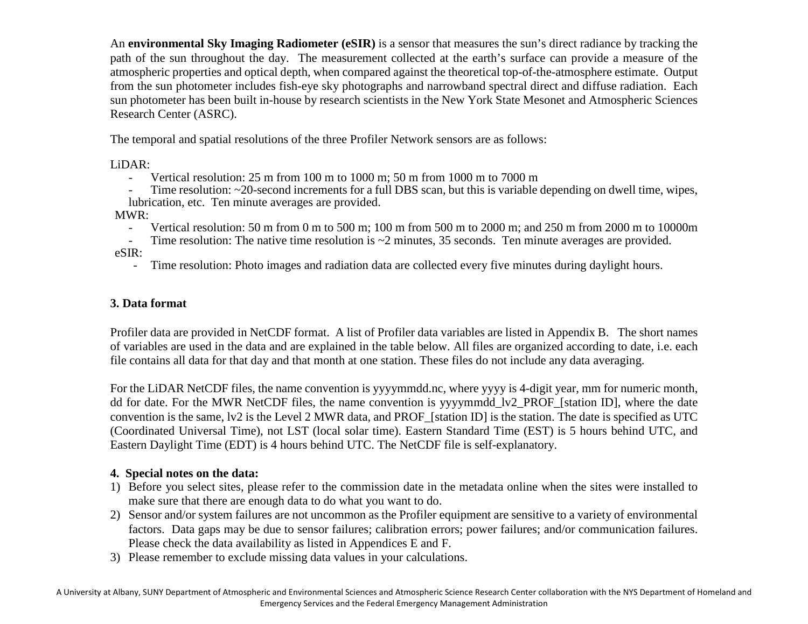An **environmental Sky Imaging Radiometer (eSIR)** is a sensor that measures the sun's direct radiance by tracking the path of the sun throughout the day. The measurement collected at the earth's surface can provide a measure of the atmospheric properties and optical depth, when compared against the theoretical top-of-the-atmosphere estimate. Output from the sun photometer includes fish-eye sky photographs and narrowband spectral direct and diffuse radiation. Each sun photometer has been built in-house by research scientists in the New York State Mesonet and Atmospheric Sciences Research Center (ASRC).

The temporal and spatial resolutions of the three Profiler Network sensors are as follows:

LiDAR:

- Vertical resolution: 25 m from 100 m to 1000 m; 50 m from 1000 m to 7000 m

Time resolution:  $\sim$  20-second increments for a full DBS scan, but this is variable depending on dwell time, wipes, lubrication, etc. Ten minute averages are provided.

MWR:

- Vertical resolution: 50 m from 0 m to 500 m; 100 m from 500 m to 2000 m; and 250 m from 2000 m to 10000m

Time resolution: The native time resolution is  $\sim$ 2 minutes, 35 seconds. Ten minute averages are provided. eSIR:

- Time resolution: Photo images and radiation data are collected every five minutes during daylight hours.

# **3. Data format**

Profiler data are provided in NetCDF format. A list of Profiler data variables are listed in Appendix B. The short names of variables are used in the data and are explained in the table below. All files are organized according to date, i.e. each file contains all data for that day and that month at one station. These files do not include any data averaging.

For the LiDAR NetCDF files, the name convention is yyyymmdd.nc, where yyyy is 4-digit year, mm for numeric month, dd for date. For the MWR NetCDF files, the name convention is yyyymmdd\_lv2\_PROF\_[station ID], where the date convention is the same, lv2 is the Level 2 MWR data, and PROF\_[station ID] is the station. The date is specified as UTC (Coordinated Universal Time), not LST (local solar time). Eastern Standard Time (EST) is 5 hours behind UTC, and Eastern Daylight Time (EDT) is 4 hours behind UTC. The NetCDF file is self-explanatory.

# **4. Special notes on the data:**

- 1) Before you select sites, please refer to the commission date in the metadata online when the sites were installed to make sure that there are enough data to do what you want to do.
- 2) Sensor and/or system failures are not uncommon as the Profiler equipment are sensitive to a variety of environmental factors. Data gaps may be due to sensor failures; calibration errors; power failures; and/or communication failures. Please check the data availability as listed in Appendices E and F.
- 3) Please remember to exclude missing data values in your calculations.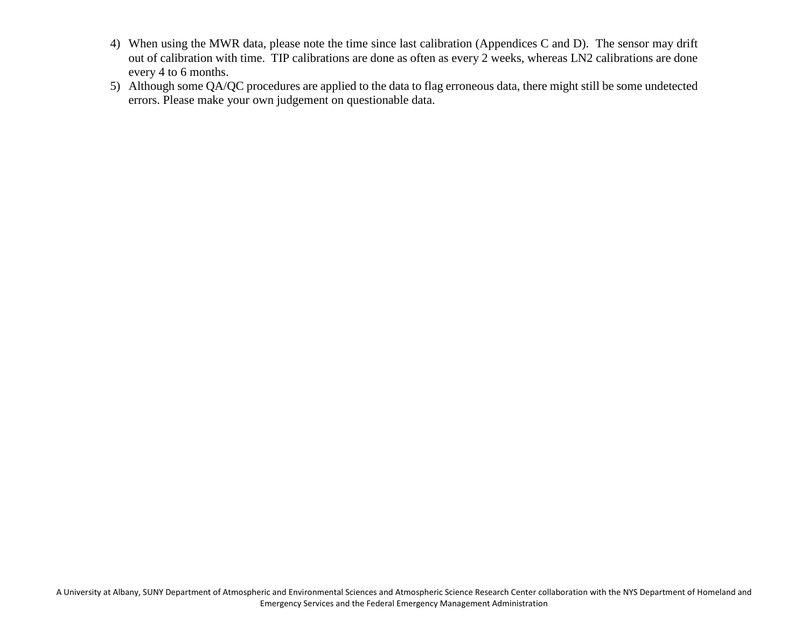- 4) When using the MWR data, please note the time since last calibration (Appendices C and D). The sensor may drift out of calibration with time. TIP calibrations are done as often as every 2 weeks, whereas LN2 calibrations are done every 4 to 6 months.
- 5) Although some QA/QC procedures are applied to the data to flag erroneous data, there might still be some undetected errors. Please make your own judgement on questionable data.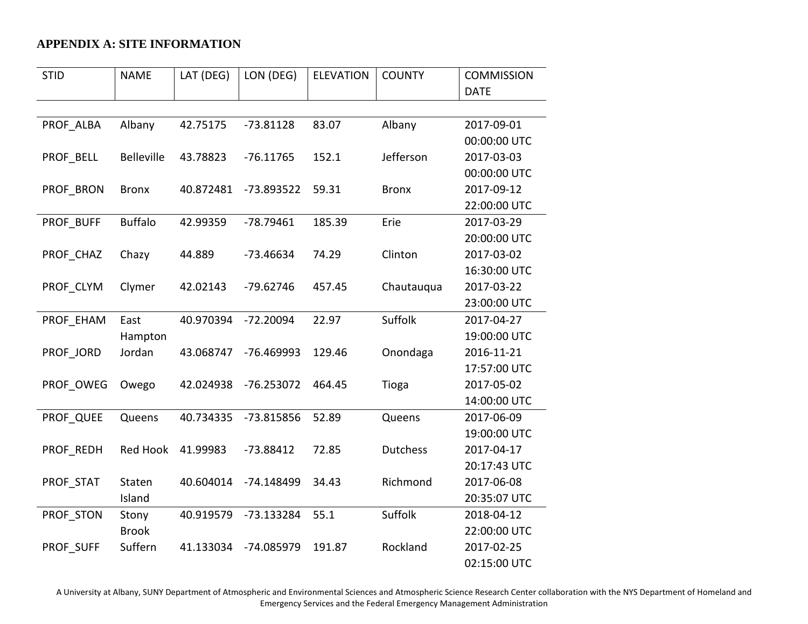## **APPENDIX A: SITE INFORMATION**

| <b>STID</b> | <b>NAME</b>       | LAT (DEG) | LON (DEG)    | <b>ELEVATION</b> | <b>COUNTY</b>   | <b>COMMISSION</b> |
|-------------|-------------------|-----------|--------------|------------------|-----------------|-------------------|
|             |                   |           |              |                  |                 | <b>DATE</b>       |
|             |                   |           |              |                  |                 |                   |
| PROF ALBA   | Albany            | 42.75175  | $-73.81128$  | 83.07            | Albany          | 2017-09-01        |
|             |                   |           |              |                  |                 | 00:00:00 UTC      |
| PROF BELL   | <b>Belleville</b> | 43.78823  | $-76.11765$  | 152.1            | Jefferson       | 2017-03-03        |
|             |                   |           |              |                  |                 | 00:00:00 UTC      |
| PROF BRON   | <b>Bronx</b>      | 40.872481 | -73.893522   | 59.31            | <b>Bronx</b>    | 2017-09-12        |
|             |                   |           |              |                  |                 | 22:00:00 UTC      |
| PROF BUFF   | <b>Buffalo</b>    | 42.99359  | $-78.79461$  | 185.39           | Erie            | 2017-03-29        |
|             |                   |           |              |                  |                 | 20:00:00 UTC      |
| PROF CHAZ   | Chazy             | 44.889    | $-73.46634$  | 74.29            | Clinton         | 2017-03-02        |
|             |                   |           |              |                  |                 | 16:30:00 UTC      |
| PROF CLYM   | Clymer            | 42.02143  | $-79.62746$  | 457.45           | Chautauqua      | 2017-03-22        |
|             |                   |           |              |                  |                 | 23:00:00 UTC      |
| PROF EHAM   | East              | 40.970394 | $-72.20094$  | 22.97            | Suffolk         | 2017-04-27        |
|             | Hampton           |           |              |                  |                 | 19:00:00 UTC      |
| PROF JORD   | Jordan            | 43.068747 | -76.469993   | 129.46           | Onondaga        | 2016-11-21        |
|             |                   |           |              |                  |                 | 17:57:00 UTC      |
| PROF OWEG   | Owego             | 42.024938 | $-76.253072$ | 464.45           | Tioga           | 2017-05-02        |
|             |                   |           |              |                  |                 | 14:00:00 UTC      |
| PROF QUEE   | Queens            | 40.734335 | -73.815856   | 52.89            | Queens          | 2017-06-09        |
|             |                   |           |              |                  |                 | 19:00:00 UTC      |
| PROF REDH   | <b>Red Hook</b>   | 41.99983  | $-73.88412$  | 72.85            | <b>Dutchess</b> | 2017-04-17        |
|             |                   |           |              |                  |                 | 20:17:43 UTC      |
| PROF STAT   | Staten            | 40.604014 | -74.148499   | 34.43            | Richmond        | 2017-06-08        |
|             | Island            |           |              |                  |                 | 20:35:07 UTC      |
| PROF STON   | Stony             | 40.919579 | -73.133284   | 55.1             | Suffolk         | 2018-04-12        |
|             | <b>Brook</b>      |           |              |                  |                 | 22:00:00 UTC      |
| PROF SUFF   | Suffern           | 41.133034 | -74.085979   | 191.87           | Rockland        | 2017-02-25        |
|             |                   |           |              |                  |                 | 02:15:00 UTC      |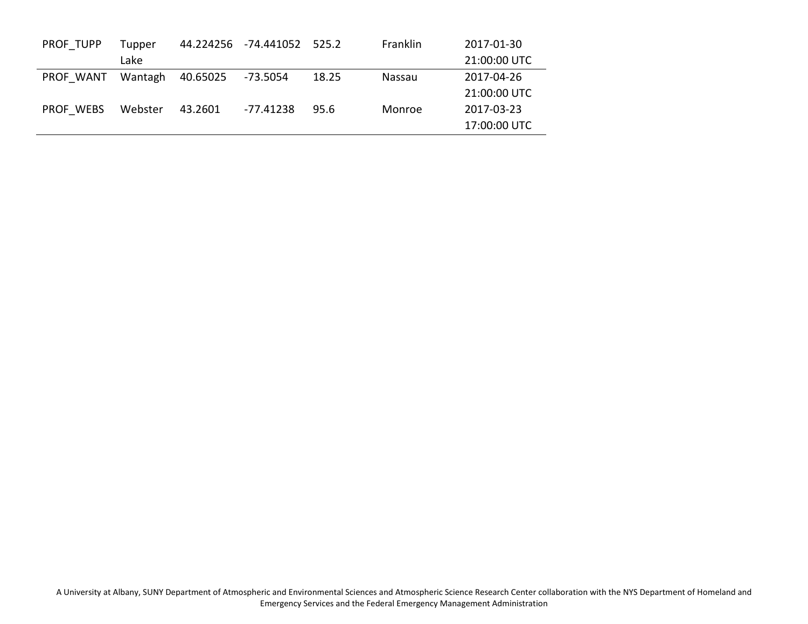| PROF TUPP | Tupper  |          | 44.224256 -74.441052 | 525.2 | <b>Franklin</b> | 2017-01-30   |
|-----------|---------|----------|----------------------|-------|-----------------|--------------|
|           | Lake    |          |                      |       |                 | 21:00:00 UTC |
| PROF WANT | Wantagh | 40.65025 | -73.5054             | 18.25 | Nassau          | 2017-04-26   |
|           |         |          |                      |       |                 | 21:00:00 UTC |
| PROF WEBS | Webster | 43.2601  | -77.41238            | 95.6  | Monroe          | 2017-03-23   |
|           |         |          |                      |       |                 | 17:00:00 UTC |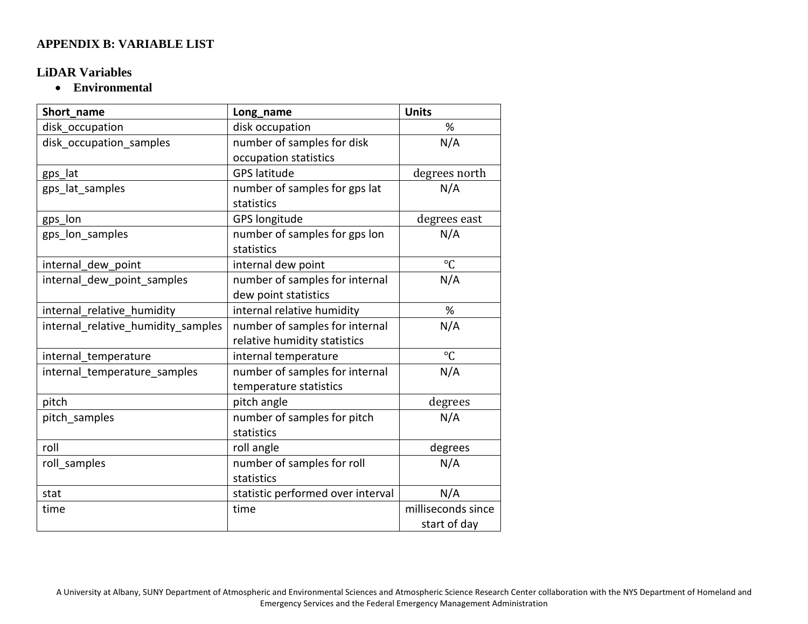### **APPENDIX B: VARIABLE LIST**

### **LiDAR Variables**

• **Environmental**

| Short name                         | Long_name                         | <b>Units</b>       |
|------------------------------------|-----------------------------------|--------------------|
| disk occupation                    | disk occupation                   | %                  |
| disk_occupation_samples            | number of samples for disk        | N/A                |
|                                    | occupation statistics             |                    |
| gps_lat                            | <b>GPS latitude</b>               | degrees north      |
| gps_lat_samples                    | number of samples for gps lat     | N/A                |
|                                    | statistics                        |                    |
| gps_lon                            | <b>GPS longitude</b>              | degrees east       |
| gps_lon_samples                    | number of samples for gps lon     | N/A                |
|                                    | statistics                        |                    |
| internal dew point                 | internal dew point                | $\rm ^{\circ}C$    |
| internal dew point samples         | number of samples for internal    | N/A                |
|                                    | dew point statistics              |                    |
| internal relative humidity         | internal relative humidity        | %                  |
| internal relative humidity samples | number of samples for internal    | N/A                |
|                                    | relative humidity statistics      |                    |
| internal_temperature               | internal temperature              | $\rm ^{\circ}C$    |
| internal_temperature_samples       | number of samples for internal    | N/A                |
|                                    | temperature statistics            |                    |
| pitch                              | pitch angle                       | degrees            |
| pitch samples                      | number of samples for pitch       | N/A                |
|                                    | statistics                        |                    |
| roll                               | roll angle                        | degrees            |
| roll samples                       | number of samples for roll        | N/A                |
|                                    | statistics                        |                    |
| stat                               | statistic performed over interval | N/A                |
| time                               | time                              | milliseconds since |
|                                    |                                   | start of day       |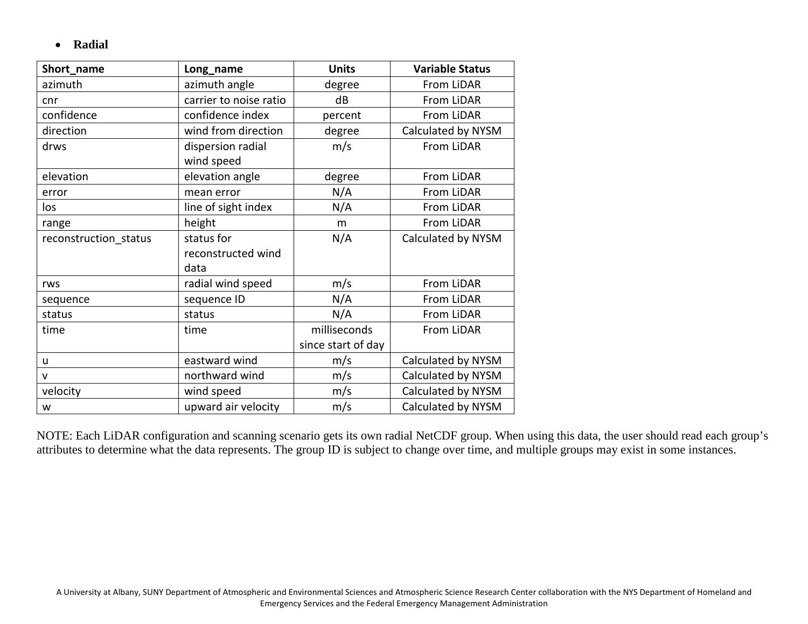• **Radial**

| Short_name            | Long_name                       | <b>Units</b>       | <b>Variable Status</b> |
|-----------------------|---------------------------------|--------------------|------------------------|
| azimuth               | azimuth angle                   | degree             | From LiDAR             |
| cnr                   | carrier to noise ratio          | dB                 | From LiDAR             |
| confidence            | confidence index                | percent            | From LiDAR             |
| direction             | wind from direction             | degree             | Calculated by NYSM     |
| drws                  | dispersion radial<br>wind speed | m/s                | From LiDAR             |
| elevation             | elevation angle                 | degree             | From LiDAR             |
| error                 | mean error                      | N/A                | From LiDAR             |
| los                   | line of sight index             | N/A                | From LiDAR             |
| range                 | height                          | m                  | From LiDAR             |
| reconstruction status | status for                      | N/A                | Calculated by NYSM     |
|                       | reconstructed wind              |                    |                        |
|                       | data                            |                    |                        |
| rws                   | radial wind speed               | m/s                | From LiDAR             |
| sequence              | sequence ID                     | N/A                | From LiDAR             |
| status                | status                          | N/A                | From LiDAR             |
| time                  | time                            | milliseconds       | From LiDAR             |
|                       |                                 | since start of day |                        |
| u                     | eastward wind                   | m/s                | Calculated by NYSM     |
| $\mathsf{v}$          | northward wind                  | m/s                | Calculated by NYSM     |
| velocity              | wind speed                      | m/s                | Calculated by NYSM     |
| w                     | upward air velocity             | m/s                | Calculated by NYSM     |

NOTE: Each LiDAR configuration and scanning scenario gets its own radial NetCDF group. When using this data, the user should read each group's attributes to determine what the data represents. The group ID is subject to change over time, and multiple groups may exist in some instances.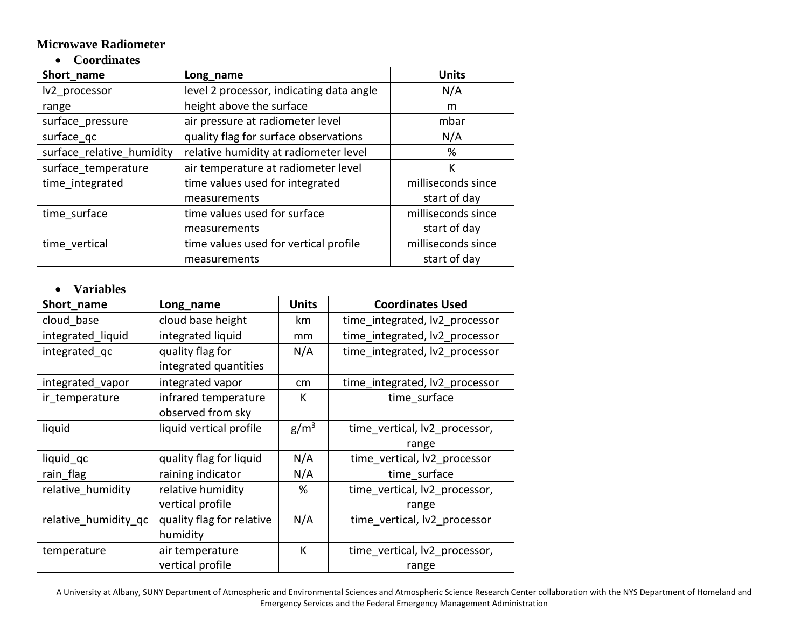#### **Microwave Radiometer**

## • **Coordinates**

| Short_name                | Long_name                                | <b>Units</b>       |
|---------------------------|------------------------------------------|--------------------|
| lv2 processor             | level 2 processor, indicating data angle | N/A                |
| range                     | height above the surface                 | m                  |
| surface_pressure          | air pressure at radiometer level         | mbar               |
| surface_qc                | quality flag for surface observations    | N/A                |
| surface relative humidity | relative humidity at radiometer level    | %                  |
| surface temperature       | air temperature at radiometer level      | К                  |
| time integrated           | time values used for integrated          | milliseconds since |
|                           | measurements                             | start of day       |
| time surface              | time values used for surface             | milliseconds since |
|                           | measurements                             | start of day       |
| time vertical             | time values used for vertical profile    | milliseconds since |
|                           | measurements                             | start of day       |

## • **Variables**

| Short_name           | Long_name                 | <b>Units</b>     | <b>Coordinates Used</b>        |
|----------------------|---------------------------|------------------|--------------------------------|
| cloud base           | cloud base height         | km               | time_integrated, lv2_processor |
| integrated_liquid    | integrated liquid         | mm               | time_integrated, lv2_processor |
| integrated qc        | quality flag for          | N/A              | time integrated, lv2 processor |
|                      | integrated quantities     |                  |                                |
| integrated_vapor     | integrated vapor          | cm               | time integrated, lv2 processor |
| ir temperature       | infrared temperature      | К                | time surface                   |
|                      | observed from sky         |                  |                                |
| liquid               | liquid vertical profile   | g/m <sup>3</sup> | time vertical, lv2_processor,  |
|                      |                           |                  | range                          |
| liquid qc            | quality flag for liquid   | N/A              | time_vertical, lv2_processor   |
| rain flag            | raining indicator         | N/A              | time surface                   |
| relative humidity    | relative humidity         | %                | time vertical, lv2_processor,  |
|                      | vertical profile          |                  | range                          |
| relative humidity qc | quality flag for relative | N/A              | time vertical, lv2_processor   |
|                      | humidity                  |                  |                                |
| temperature          | air temperature           | К                | time_vertical, lv2_processor,  |
|                      | vertical profile          |                  | range                          |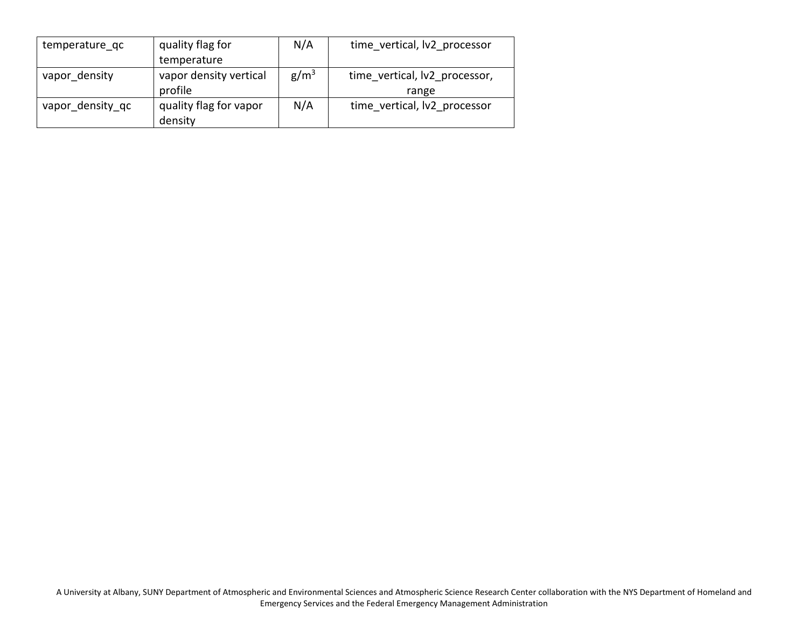| temperature qc   | quality flag for       | N/A              | time vertical, lv2 processor  |
|------------------|------------------------|------------------|-------------------------------|
|                  | temperature            |                  |                               |
| vapor density    | vapor density vertical | g/m <sup>3</sup> | time vertical, lv2 processor, |
|                  | profile                |                  | range                         |
| vapor density qc | quality flag for vapor | N/A              | time vertical, lv2 processor  |
|                  | density                |                  |                               |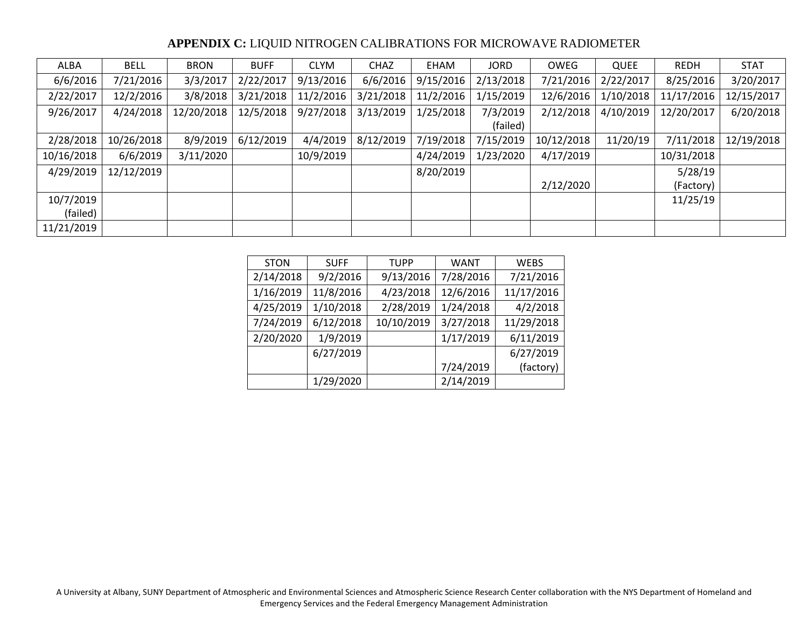#### **APPENDIX C:** LIQUID NITROGEN CALIBRATIONS FOR MICROWAVE RADIOMETER

| ALBA       | <b>BELL</b> | <b>BRON</b> | <b>BUFF</b> | <b>CLYM</b> | <b>CHAZ</b> | EHAM      | <b>JORD</b> | OWEG       | QUEE      | <b>REDH</b> | <b>STAT</b> |
|------------|-------------|-------------|-------------|-------------|-------------|-----------|-------------|------------|-----------|-------------|-------------|
| 6/6/2016   | 7/21/2016   | 3/3/2017    | 2/22/2017   | 9/13/2016   | 6/6/2016    | 9/15/2016 | 2/13/2018   | 7/21/2016  | 2/22/2017 | 8/25/2016   | 3/20/2017   |
| 2/22/2017  | 12/2/2016   | 3/8/2018    | 3/21/2018   | 11/2/2016   | 3/21/2018   | 11/2/2016 | 1/15/2019   | 12/6/2016  | 1/10/2018 | 11/17/2016  | 12/15/2017  |
| 9/26/2017  | 4/24/2018   | 12/20/2018  | 12/5/2018   | 9/27/2018   | 3/13/2019   | 1/25/2018 | 7/3/2019    | 2/12/2018  | 4/10/2019 | 12/20/2017  | 6/20/2018   |
|            |             |             |             |             |             |           | (failed)    |            |           |             |             |
| 2/28/2018  | 10/26/2018  | 8/9/2019    | 6/12/2019   | 4/4/2019    | 8/12/2019   | 7/19/2018 | 7/15/2019   | 10/12/2018 | 11/20/19  | 7/11/2018   | 12/19/2018  |
| 10/16/2018 | 6/6/2019    | 3/11/2020   |             | 10/9/2019   |             | 4/24/2019 | 1/23/2020   | 4/17/2019  |           | 10/31/2018  |             |
| 4/29/2019  | 12/12/2019  |             |             |             |             | 8/20/2019 |             |            |           | 5/28/19     |             |
|            |             |             |             |             |             |           |             | 2/12/2020  |           | (Factory)   |             |
| 10/7/2019  |             |             |             |             |             |           |             |            |           | 11/25/19    |             |
| (failed)   |             |             |             |             |             |           |             |            |           |             |             |
| 11/21/2019 |             |             |             |             |             |           |             |            |           |             |             |

| <b>STON</b> | <b>SUFF</b> | <b>TUPP</b> | <b>WANT</b> | <b>WEBS</b> |
|-------------|-------------|-------------|-------------|-------------|
| 2/14/2018   | 9/2/2016    | 9/13/2016   | 7/28/2016   | 7/21/2016   |
| 1/16/2019   | 11/8/2016   | 4/23/2018   | 12/6/2016   | 11/17/2016  |
| 4/25/2019   | 1/10/2018   | 2/28/2019   | 1/24/2018   | 4/2/2018    |
| 7/24/2019   | 6/12/2018   | 10/10/2019  | 3/27/2018   | 11/29/2018  |
| 2/20/2020   | 1/9/2019    |             | 1/17/2019   | 6/11/2019   |
|             | 6/27/2019   |             |             | 6/27/2019   |
|             |             |             | 7/24/2019   | (factory)   |
|             | 1/29/2020   |             | 2/14/2019   |             |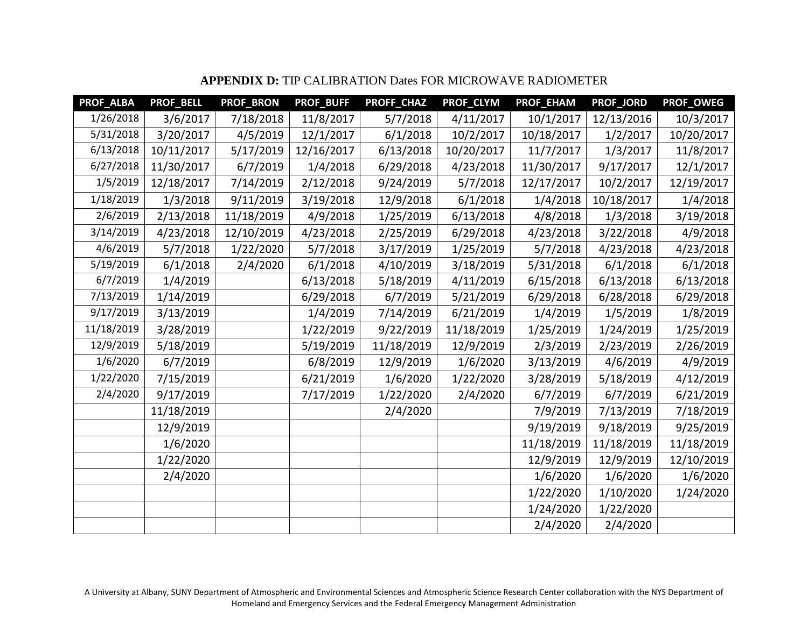| PROF_ALBA  | <b>PROF_BELL</b> | PROF_BRON  | <b>PROF_BUFF</b> | PROFF_CHAZ | PROF_CLYM  | PROF_EHAM  | PROF_JORD  | PROF_OWEG  |
|------------|------------------|------------|------------------|------------|------------|------------|------------|------------|
| 1/26/2018  | 3/6/2017         | 7/18/2018  | 11/8/2017        | 5/7/2018   | 4/11/2017  | 10/1/2017  | 12/13/2016 | 10/3/2017  |
| 5/31/2018  | 3/20/2017        | 4/5/2019   | 12/1/2017        | 6/1/2018   | 10/2/2017  | 10/18/2017 | 1/2/2017   | 10/20/2017 |
| 6/13/2018  | 10/11/2017       | 5/17/2019  | 12/16/2017       | 6/13/2018  | 10/20/2017 | 11/7/2017  | 1/3/2017   | 11/8/2017  |
| 6/27/2018  | 11/30/2017       | 6/7/2019   | 1/4/2018         | 6/29/2018  | 4/23/2018  | 11/30/2017 | 9/17/2017  | 12/1/2017  |
| 1/5/2019   | 12/18/2017       | 7/14/2019  | 2/12/2018        | 9/24/2019  | 5/7/2018   | 12/17/2017 | 10/2/2017  | 12/19/2017 |
| 1/18/2019  | 1/3/2018         | 9/11/2019  | 3/19/2018        | 12/9/2018  | 6/1/2018   | 1/4/2018   | 10/18/2017 | 1/4/2018   |
| 2/6/2019   | 2/13/2018        | 11/18/2019 | 4/9/2018         | 1/25/2019  | 6/13/2018  | 4/8/2018   | 1/3/2018   | 3/19/2018  |
| 3/14/2019  | 4/23/2018        | 12/10/2019 | 4/23/2018        | 2/25/2019  | 6/29/2018  | 4/23/2018  | 3/22/2018  | 4/9/2018   |
| 4/6/2019   | 5/7/2018         | 1/22/2020  | 5/7/2018         | 3/17/2019  | 1/25/2019  | 5/7/2018   | 4/23/2018  | 4/23/2018  |
| 5/19/2019  | 6/1/2018         | 2/4/2020   | 6/1/2018         | 4/10/2019  | 3/18/2019  | 5/31/2018  | 6/1/2018   | 6/1/2018   |
| 6/7/2019   | 1/4/2019         |            | 6/13/2018        | 5/18/2019  | 4/11/2019  | 6/15/2018  | 6/13/2018  | 6/13/2018  |
| 7/13/2019  | 1/14/2019        |            | 6/29/2018        | 6/7/2019   | 5/21/2019  | 6/29/2018  | 6/28/2018  | 6/29/2018  |
| 9/17/2019  | 3/13/2019        |            | 1/4/2019         | 7/14/2019  | 6/21/2019  | 1/4/2019   | 1/5/2019   | 1/8/2019   |
| 11/18/2019 | 3/28/2019        |            | 1/22/2019        | 9/22/2019  | 11/18/2019 | 1/25/2019  | 1/24/2019  | 1/25/2019  |
| 12/9/2019  | 5/18/2019        |            | 5/19/2019        | 11/18/2019 | 12/9/2019  | 2/3/2019   | 2/23/2019  | 2/26/2019  |
| 1/6/2020   | 6/7/2019         |            | 6/8/2019         | 12/9/2019  | 1/6/2020   | 3/13/2019  | 4/6/2019   | 4/9/2019   |
| 1/22/2020  | 7/15/2019        |            | 6/21/2019        | 1/6/2020   | 1/22/2020  | 3/28/2019  | 5/18/2019  | 4/12/2019  |
| 2/4/2020   | 9/17/2019        |            | 7/17/2019        | 1/22/2020  | 2/4/2020   | 6/7/2019   | 6/7/2019   | 6/21/2019  |
|            | 11/18/2019       |            |                  | 2/4/2020   |            | 7/9/2019   | 7/13/2019  | 7/18/2019  |
|            | 12/9/2019        |            |                  |            |            | 9/19/2019  | 9/18/2019  | 9/25/2019  |
|            | 1/6/2020         |            |                  |            |            | 11/18/2019 | 11/18/2019 | 11/18/2019 |
|            | 1/22/2020        |            |                  |            |            | 12/9/2019  | 12/9/2019  | 12/10/2019 |
|            | 2/4/2020         |            |                  |            |            | 1/6/2020   | 1/6/2020   | 1/6/2020   |
|            |                  |            |                  |            |            | 1/22/2020  | 1/10/2020  | 1/24/2020  |
|            |                  |            |                  |            |            | 1/24/2020  | 1/22/2020  |            |
|            |                  |            |                  |            |            | 2/4/2020   | 2/4/2020   |            |

# **APPENDIX D:** TIP CALIBRATION Dates FOR MICROWAVE RADIOMETER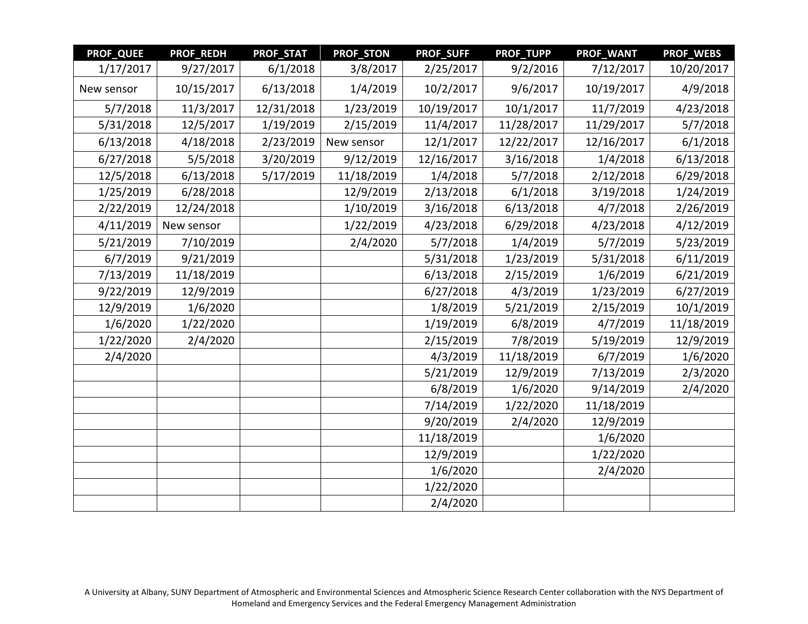| <b>PROF_QUEE</b> | PROF_REDH  | PROF_STAT  | <b>PROF_STON</b> | <b>PROF_SUFF</b> | PROF_TUPP  | PROF_WANT  | <b>PROF_WEBS</b> |
|------------------|------------|------------|------------------|------------------|------------|------------|------------------|
| 1/17/2017        | 9/27/2017  | 6/1/2018   | 3/8/2017         | 2/25/2017        | 9/2/2016   | 7/12/2017  | 10/20/2017       |
| New sensor       | 10/15/2017 | 6/13/2018  | 1/4/2019         | 10/2/2017        | 9/6/2017   | 10/19/2017 | 4/9/2018         |
| 5/7/2018         | 11/3/2017  | 12/31/2018 | 1/23/2019        | 10/19/2017       | 10/1/2017  | 11/7/2019  | 4/23/2018        |
| 5/31/2018        | 12/5/2017  | 1/19/2019  | 2/15/2019        | 11/4/2017        | 11/28/2017 | 11/29/2017 | 5/7/2018         |
| 6/13/2018        | 4/18/2018  | 2/23/2019  | New sensor       | 12/1/2017        | 12/22/2017 | 12/16/2017 | 6/1/2018         |
| 6/27/2018        | 5/5/2018   | 3/20/2019  | 9/12/2019        | 12/16/2017       | 3/16/2018  | 1/4/2018   | 6/13/2018        |
| 12/5/2018        | 6/13/2018  | 5/17/2019  | 11/18/2019       | 1/4/2018         | 5/7/2018   | 2/12/2018  | 6/29/2018        |
| 1/25/2019        | 6/28/2018  |            | 12/9/2019        | 2/13/2018        | 6/1/2018   | 3/19/2018  | 1/24/2019        |
| 2/22/2019        | 12/24/2018 |            | 1/10/2019        | 3/16/2018        | 6/13/2018  | 4/7/2018   | 2/26/2019        |
| 4/11/2019        | New sensor |            | 1/22/2019        | 4/23/2018        | 6/29/2018  | 4/23/2018  | 4/12/2019        |
| 5/21/2019        | 7/10/2019  |            | 2/4/2020         | 5/7/2018         | 1/4/2019   | 5/7/2019   | 5/23/2019        |
| 6/7/2019         | 9/21/2019  |            |                  | 5/31/2018        | 1/23/2019  | 5/31/2018  | 6/11/2019        |
| 7/13/2019        | 11/18/2019 |            |                  | 6/13/2018        | 2/15/2019  | 1/6/2019   | 6/21/2019        |
| 9/22/2019        | 12/9/2019  |            |                  | 6/27/2018        | 4/3/2019   | 1/23/2019  | 6/27/2019        |
| 12/9/2019        | 1/6/2020   |            |                  | 1/8/2019         | 5/21/2019  | 2/15/2019  | 10/1/2019        |
| 1/6/2020         | 1/22/2020  |            |                  | 1/19/2019        | 6/8/2019   | 4/7/2019   | 11/18/2019       |
| 1/22/2020        | 2/4/2020   |            |                  | 2/15/2019        | 7/8/2019   | 5/19/2019  | 12/9/2019        |
| 2/4/2020         |            |            |                  | 4/3/2019         | 11/18/2019 | 6/7/2019   | 1/6/2020         |
|                  |            |            |                  | 5/21/2019        | 12/9/2019  | 7/13/2019  | 2/3/2020         |
|                  |            |            |                  | 6/8/2019         | 1/6/2020   | 9/14/2019  | 2/4/2020         |
|                  |            |            |                  | 7/14/2019        | 1/22/2020  | 11/18/2019 |                  |
|                  |            |            |                  | 9/20/2019        | 2/4/2020   | 12/9/2019  |                  |
|                  |            |            |                  | 11/18/2019       |            | 1/6/2020   |                  |
|                  |            |            |                  | 12/9/2019        |            | 1/22/2020  |                  |
|                  |            |            |                  | 1/6/2020         |            | 2/4/2020   |                  |
|                  |            |            |                  | 1/22/2020        |            |            |                  |
|                  |            |            |                  | 2/4/2020         |            |            |                  |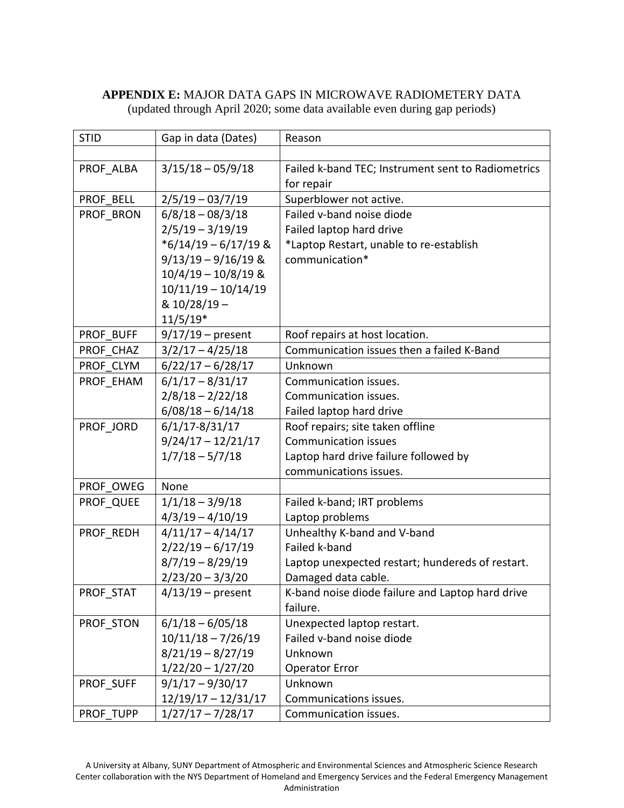## **APPENDIX E:** MAJOR DATA GAPS IN MICROWAVE RADIOMETERY DATA (updated through April 2020; some data available even during gap periods)

| <b>STID</b> | Gap in data (Dates)    | Reason                                             |
|-------------|------------------------|----------------------------------------------------|
|             |                        |                                                    |
| PROF ALBA   | $3/15/18 - 05/9/18$    | Failed k-band TEC; Instrument sent to Radiometrics |
|             |                        | for repair                                         |
| PROF BELL   | $2/5/19 - 03/7/19$     | Superblower not active.                            |
| PROF BRON   | $6/8/18 - 08/3/18$     | Failed v-band noise diode                          |
|             | $2/5/19 - 3/19/19$     | Failed laptop hard drive                           |
|             | $*6/14/19 - 6/17/19$ & | *Laptop Restart, unable to re-establish            |
|             | $9/13/19 - 9/16/19$ &  | communication*                                     |
|             | $10/4/19 - 10/8/19$ &  |                                                    |
|             | $10/11/19 - 10/14/19$  |                                                    |
|             | & 10/28/19 -           |                                                    |
|             | $11/5/19*$             |                                                    |
| PROF BUFF   | $9/17/19$ – present    | Roof repairs at host location.                     |
| PROF CHAZ   | $3/2/17 - 4/25/18$     | Communication issues then a failed K-Band          |
| PROF CLYM   | $6/22/17 - 6/28/17$    | Unknown                                            |
| PROF EHAM   | $6/1/17 - 8/31/17$     | Communication issues.                              |
|             | $2/8/18 - 2/22/18$     | Communication issues.                              |
|             | $6/08/18 - 6/14/18$    | Failed laptop hard drive                           |
| PROF JORD   | $6/1/17 - 8/31/17$     | Roof repairs; site taken offline                   |
|             | $9/24/17 - 12/21/17$   | <b>Communication issues</b>                        |
|             | $1/7/18 - 5/7/18$      | Laptop hard drive failure followed by              |
|             |                        | communications issues.                             |
| PROF OWEG   | None                   |                                                    |
| PROF QUEE   | $1/1/18 - 3/9/18$      | Failed k-band; IRT problems                        |
|             | $4/3/19 - 4/10/19$     | Laptop problems                                    |
| PROF REDH   | $4/11/17 - 4/14/17$    | Unhealthy K-band and V-band                        |
|             | $2/22/19 - 6/17/19$    | Failed k-band                                      |
|             | $8/7/19 - 8/29/19$     | Laptop unexpected restart; hundereds of restart.   |
|             | $2/23/20 - 3/3/20$     | Damaged data cable.                                |
| PROF STAT   | $4/13/19$ – present    | K-band noise diode failure and Laptop hard drive   |
|             |                        | failure.                                           |
| PROF STON   | $6/1/18 - 6/05/18$     | Unexpected laptop restart.                         |
|             | $10/11/18 - 7/26/19$   | Failed v-band noise diode                          |
|             | $8/21/19 - 8/27/19$    | Unknown                                            |
|             | $1/22/20 - 1/27/20$    | <b>Operator Error</b>                              |
| PROF SUFF   | $9/1/17 - 9/30/17$     | Unknown                                            |
|             | $12/19/17 - 12/31/17$  | Communications issues.                             |
| PROF TUPP   | $1/27/17 - 7/28/17$    | Communication issues.                              |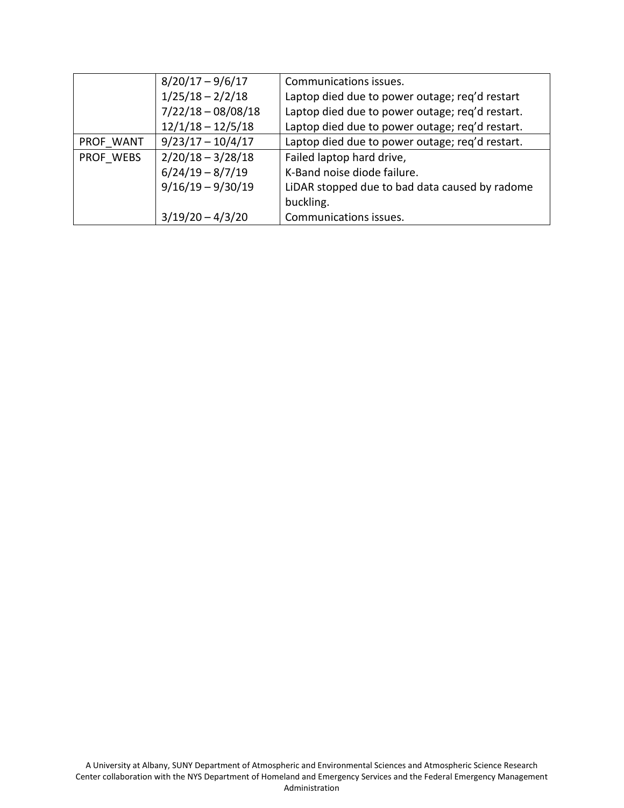|           | $8/20/17 - 9/6/17$   | Communications issues.                          |
|-----------|----------------------|-------------------------------------------------|
|           | $1/25/18 - 2/2/18$   | Laptop died due to power outage; req'd restart  |
|           | $7/22/18 - 08/08/18$ | Laptop died due to power outage; req'd restart. |
|           | $12/1/18 - 12/5/18$  | Laptop died due to power outage; req'd restart. |
| PROF WANT | $9/23/17 - 10/4/17$  | Laptop died due to power outage; req'd restart. |
| PROF WEBS | $2/20/18 - 3/28/18$  | Failed laptop hard drive,                       |
|           | $6/24/19 - 8/7/19$   | K-Band noise diode failure.                     |
|           | $9/16/19 - 9/30/19$  | LiDAR stopped due to bad data caused by radome  |
|           |                      | buckling.                                       |
|           | $3/19/20 - 4/3/20$   | Communications issues.                          |